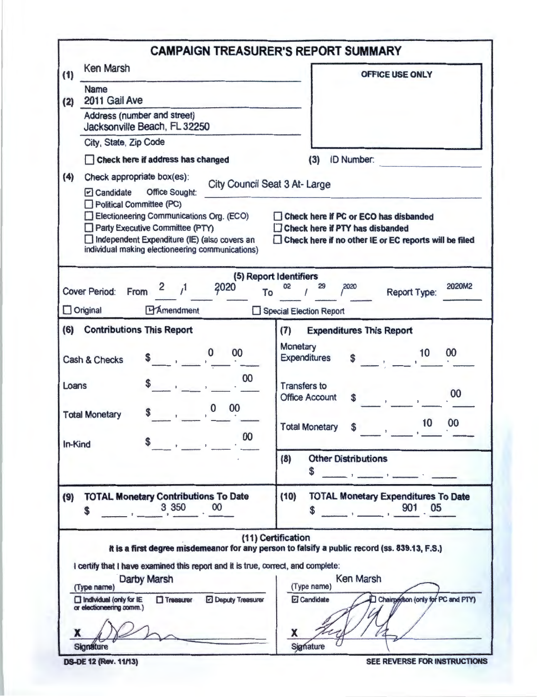|         |                                                                                                                                                                                    | <b>CAMPAIGN TREASURER'S REPORT SUMMARY</b>                                                                          |  |  |  |
|---------|------------------------------------------------------------------------------------------------------------------------------------------------------------------------------------|---------------------------------------------------------------------------------------------------------------------|--|--|--|
| (1)     | Ken Marsh                                                                                                                                                                          | OFFICE USE ONLY                                                                                                     |  |  |  |
| (2)     | Name<br>2011 Gail Ave                                                                                                                                                              |                                                                                                                     |  |  |  |
|         | Address (number and street)<br>Jacksonville Beach, FL 32250                                                                                                                        |                                                                                                                     |  |  |  |
|         | City, State, Zip Code                                                                                                                                                              | (3)<br><b>ID Number:</b>                                                                                            |  |  |  |
|         | Check here if address has changed                                                                                                                                                  |                                                                                                                     |  |  |  |
| (4)     | Check appropriate box(es):<br>City Council Seat 3 At-Large<br>$\triangleright$ Candidate<br>Office Sought:<br>Political Committee (PC)<br>Electioneering Communications Org. (ECO) | Check here if PC or ECO has disbanded                                                                               |  |  |  |
|         | Party Executive Committee (PTY)<br>Independent Expenditure (IE) (also covers an<br>individual making electioneering communications)                                                | Check here if PTY has disbanded<br>Check here if no other IE or EC reports will be filed                            |  |  |  |
|         |                                                                                                                                                                                    | (5) Report Identifiers                                                                                              |  |  |  |
|         | 2020<br>2<br>$\mathcal{L}$<br><b>Cover Period:</b><br>From<br>To                                                                                                                   | 2020M2<br>02<br>29<br>2020<br>Report Type:                                                                          |  |  |  |
|         | <b>HAmendment</b><br>$\Box$ Original                                                                                                                                               | Special Election Report                                                                                             |  |  |  |
| (6)     | <b>Contributions This Report</b>                                                                                                                                                   | <b>Expenditures This Report</b><br>(7)                                                                              |  |  |  |
|         | 00<br>0<br>$\sim$ $\sim$ $\sim$<br>Cash & Checks                                                                                                                                   | Monetary<br>00<br>10<br>$\mathcal{L}^{\text{max}}$ .<br><b>Expenditures</b><br>\$                                   |  |  |  |
| Loans   | 00                                                                                                                                                                                 | <b>Transfers to</b><br>00<br><b>Office Account</b><br>S                                                             |  |  |  |
|         | 00<br>$\bf{0}$<br><b>Total Monetary</b>                                                                                                                                            | 00<br>10<br><b>Total Monetary</b><br>S                                                                              |  |  |  |
| In-Kind | 00<br>\$                                                                                                                                                                           |                                                                                                                     |  |  |  |
|         |                                                                                                                                                                                    | (8)<br><b>Other Distributions</b><br>\$<br>and the company of the company of the com-                               |  |  |  |
| (9)     | <b>TOTAL Monetary Contributions To Date</b><br>3 3 5 0<br>00<br>\$                                                                                                                 | (10)<br><b>TOTAL Monetary Expenditures To Date</b><br>901 05<br>\$                                                  |  |  |  |
|         |                                                                                                                                                                                    | (11) Certification<br>It is a first degree misdemeanor for any person to falsify a public record (ss. 839.13, F.S.) |  |  |  |
|         | I certify that I have examined this report and it is true, correct, and complete:<br>Darby Marsh<br>(Type name)                                                                    | <b>Ken Marsh</b><br>(Type name)                                                                                     |  |  |  |
|         | $\Box$ Treasurer<br><b>Deputy Treasurer</b><br>$\Box$ Individual (only for IE<br>or electioneering comm.)                                                                          | Chairperson (only for PC and PTY)<br>Candidate                                                                      |  |  |  |
|         | <b>Signature</b>                                                                                                                                                                   | x<br>Signature                                                                                                      |  |  |  |

DS-DE 12 (Rev. 11/13)

SEE REVERSE FOR INSTRUCTIONS